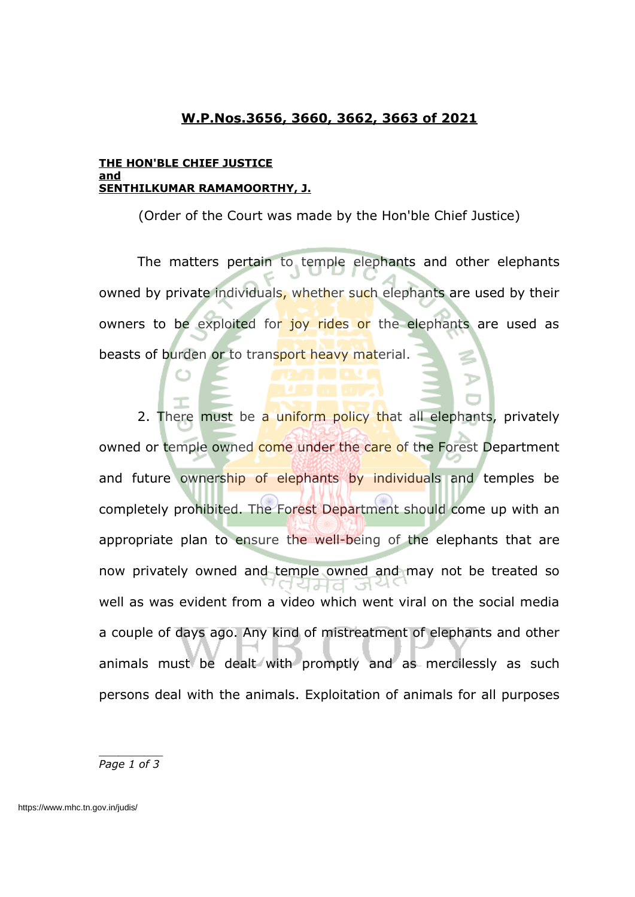### **W.P.Nos.3656, 3660, 3662, 3663 of 2021**

#### **THE HON'BLE CHIEF JUSTICE and SENTHILKUMAR RAMAMOORTHY, J.**

(Order of the Court was made by the Hon'ble Chief Justice)

The matters pertain to temple elephants and other elephants owned by private individuals, whether such elephants are used by their owners to be exploited for joy rides or the elephants are used as beasts of burden or to transport heavy material.

2. There must be a uniform policy that all elephants, privately owned or temple owned come under the care of the Forest Department and future ownership of elephants by individuals and temples be completely prohibited. The Forest Department should come up with an appropriate plan to ensure the well-being of the elephants that are now privately owned and temple owned and may not be treated so l al-Let well as was evident from a video which went viral on the social media a couple of days ago. Any kind of mistreatment of elephants and other animals must be dealt with promptly and as mercilessly as such persons deal with the animals. Exploitation of animals for all purposes

*Page 1 of 3*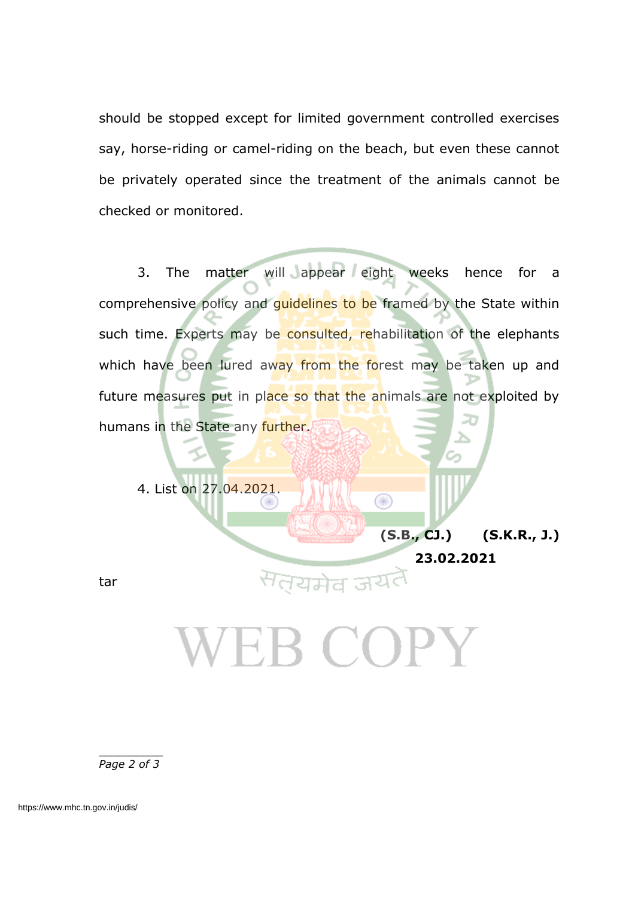should be stopped except for limited government controlled exercises say, horse-riding or camel-riding on the beach, but even these cannot be privately operated since the treatment of the animals cannot be checked or monitored.

3. The matter will appear eight weeks hence for a comprehensive policy and guidelines to be framed by the State within such time. Experts may be consulted, rehabilitation of the elephants which have been lured away from the forest may be taken up and future measures put in place so that the animals are not exploited by humans in the State any further.

⋒

4. List on 27.04.2021.

**(S.B., CJ.) (S.K.R., J.) 23.02.2021**

tar

## 'EB COPY

*Page 2 of 3*

https://www.mhc.tn.gov.in/judis/